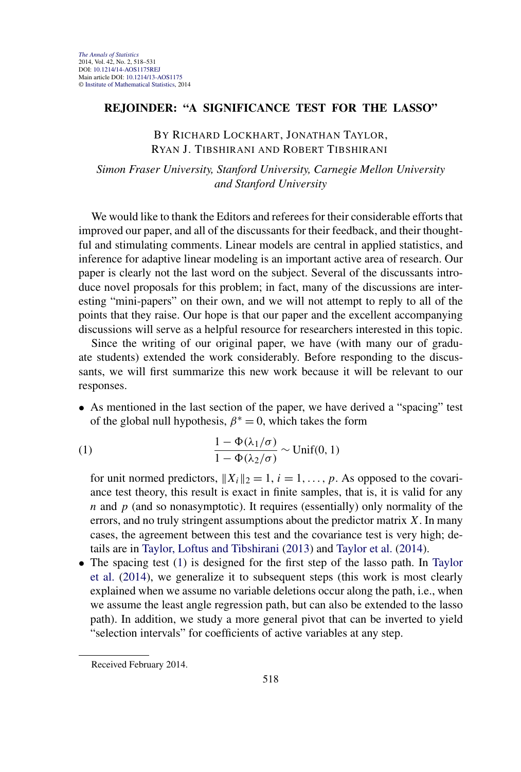# <span id="page-0-0"></span>**REJOINDER: "A SIGNIFICANCE TEST FOR THE LASSO"**

## BY RICHARD LOCKHART, JONATHAN TAYLOR, RYAN J. TIBSHIRANI AND ROBERT TIBSHIRANI

# *Simon Fraser University, Stanford University, Carnegie Mellon University and Stanford University*

We would like to thank the Editors and referees for their considerable efforts that improved our paper, and all of the discussants for their feedback, and their thoughtful and stimulating comments. Linear models are central in applied statistics, and inference for adaptive linear modeling is an important active area of research. Our paper is clearly not the last word on the subject. Several of the discussants introduce novel proposals for this problem; in fact, many of the discussions are interesting "mini-papers" on their own, and we will not attempt to reply to all of the points that they raise. Our hope is that our paper and the excellent accompanying discussions will serve as a helpful resource for researchers interested in this topic.

Since the writing of our original paper, we have (with many our of graduate students) extended the work considerably. Before responding to the discussants, we will first summarize this new work because it will be relevant to our responses.

• As mentioned in the last section of the paper, we have derived a "spacing" test of the global null hypothesis,  $\beta^* = 0$ , which takes the form

(1) 
$$
\frac{1 - \Phi(\lambda_1/\sigma)}{1 - \Phi(\lambda_2/\sigma)} \sim \text{Unif}(0, 1)
$$

for unit normed predictors,  $||X_i||_2 = 1$ ,  $i = 1, \ldots, p$ . As opposed to the covariance test theory, this result is exact in finite samples, that is, it is valid for any *n* and *p* (and so nonasymptotic). It requires (essentially) only normality of the errors, and no truly stringent assumptions about the predictor matrix *X*. In many cases, the agreement between this test and the covariance test is very high; details are in [Taylor, Loftus and Tibshirani](#page-13-0) [\(2013\)](#page-13-0) and [Taylor et al.](#page-13-0) [\(2014\)](#page-13-0).

• The spacing test (1) is designed for the first step of the lasso path. In [Taylor](#page-13-0) [et al.](#page-13-0) [\(2014\)](#page-13-0), we generalize it to subsequent steps (this work is most clearly explained when we assume no variable deletions occur along the path, i.e., when we assume the least angle regression path, but can also be extended to the lasso path). In addition, we study a more general pivot that can be inverted to yield "selection intervals" for coefficients of active variables at any step.

Received February 2014.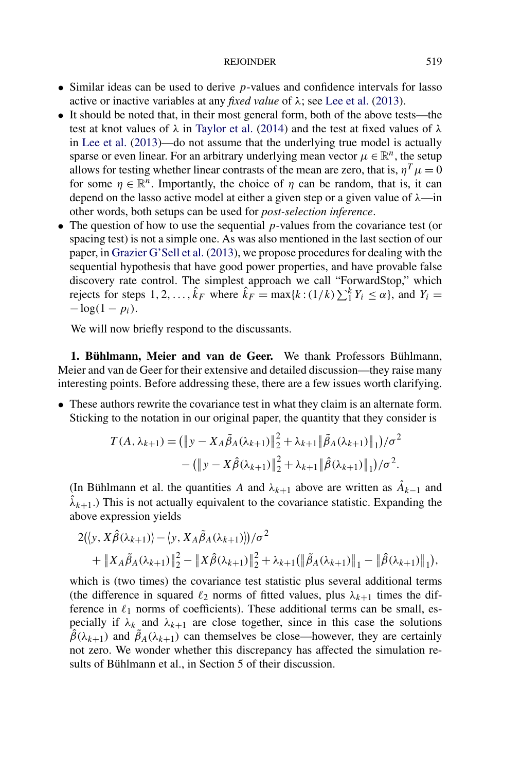- <span id="page-1-0"></span>• Similar ideas can be used to derive *p*-values and confidence intervals for lasso active or inactive variables at any *fixed value* of *λ*; see [Lee et al.](#page-13-0) [\(2013\)](#page-13-0).
- It should be noted that, in their most general form, both of the above tests—the test at knot values of *λ* in [Taylor et al.](#page-13-0) [\(2014\)](#page-13-0) and the test at fixed values of *λ* in [Lee et al.](#page-13-0) [\(2013\)](#page-13-0)—do not assume that the underlying true model is actually sparse or even linear. For an arbitrary underlying mean vector  $\mu \in \mathbb{R}^n$ , the setup allows for testing whether linear contrasts of the mean are zero, that is,  $\eta^T \mu = 0$ for some  $\eta \in \mathbb{R}^n$ . Importantly, the choice of  $\eta$  can be random, that is, it can depend on the lasso active model at either a given step or a given value of *λ*—in other words, both setups can be used for *post-selection inference*.
- The question of how to use the sequential *p*-values from the covariance test (or spacing test) is not a simple one. As was also mentioned in the last section of our paper, in [Grazier G'Sell et al.](#page-13-0) [\(2013\)](#page-13-0), we propose procedures for dealing with the sequential hypothesis that have good power properties, and have provable false discovery rate control. The simplest approach we call "ForwardStop," which rejects for steps  $1, 2, ..., \hat{k}_F$  where  $\hat{k}_F = \max\{k : (1/k) \sum_{i=1}^k Y_i \le \alpha\}$ , and  $Y_i =$  $-\log(1 - p_i)$ .

We will now briefly respond to the discussants.

**1. Bühlmann, Meier and van de Geer.** We thank Professors Bühlmann, Meier and van de Geer for their extensive and detailed discussion—they raise many interesting points. Before addressing these, there are a few issues worth clarifying.

• These authors rewrite the covariance test in what they claim is an alternate form. Sticking to the notation in our original paper, the quantity that they consider is

$$
T(A, \lambda_{k+1}) = (\|y - X_A \tilde{\beta}_A(\lambda_{k+1})\|_2^2 + \lambda_{k+1} \|\tilde{\beta}_A(\lambda_{k+1})\|_1)/\sigma^2 - (\|y - X\hat{\beta}(\lambda_{k+1})\|_2^2 + \lambda_{k+1} \|\hat{\beta}(\lambda_{k+1})\|_1)/\sigma^2.
$$

(In Bühlmann et al. the quantities *A* and  $\lambda_{k+1}$  above are written as  $\hat{A}_{k-1}$  and  $\hat{\lambda}_{k+1}$ .) This is not actually equivalent to the covariance statistic. Expanding the above expression yields

$$
2(\langle y, X\hat{\beta}(\lambda_{k+1})\rangle - \langle y, X_A\tilde{\beta}_A(\lambda_{k+1})\rangle)/\sigma^2
$$
  
+ 
$$
\|X_A\tilde{\beta}_A(\lambda_{k+1})\|_2^2 - \|X\hat{\beta}(\lambda_{k+1})\|_2^2 + \lambda_{k+1}(\|\tilde{\beta}_A(\lambda_{k+1})\|_1 - \|\hat{\beta}(\lambda_{k+1})\|_1),
$$

which is (two times) the covariance test statistic plus several additional terms (the difference in squared  $\ell_2$  norms of fitted values, plus  $\lambda_{k+1}$  times the difference in  $\ell_1$  norms of coefficients). These additional terms can be small, especially if  $\lambda_k$  and  $\lambda_{k+1}$  are close together, since in this case the solutions  $\hat{\beta}(\lambda_{k+1})$  and  $\tilde{\beta}_A(\lambda_{k+1})$  can themselves be close—however, they are certainly not zero. We wonder whether this discrepancy has affected the simulation results of Bühlmann et al., in Section 5 of their discussion.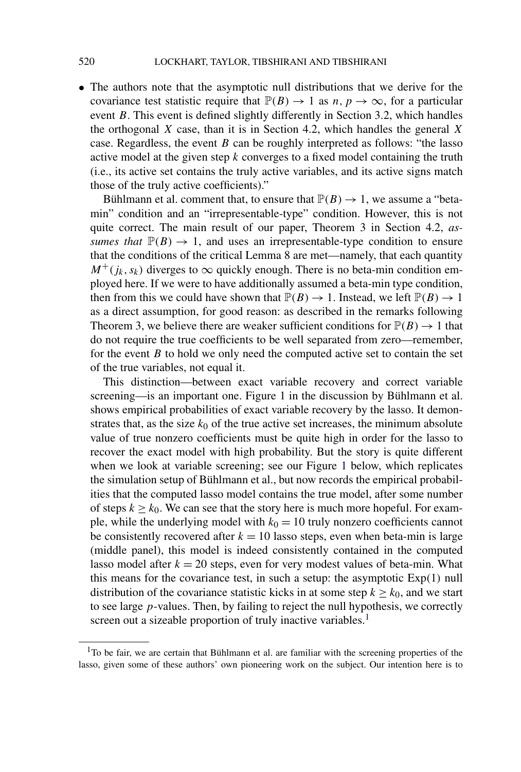• The authors note that the asymptotic null distributions that we derive for the covariance test statistic require that  $\mathbb{P}(B) \to 1$  as  $n, p \to \infty$ , for a particular event *B*. This event is defined slightly differently in Section 3.2, which handles the orthogonal *X* case, than it is in Section 4.2, which handles the general *X* case. Regardless, the event *B* can be roughly interpreted as follows: "the lasso active model at the given step *k* converges to a fixed model containing the truth (i.e., its active set contains the truly active variables, and its active signs match those of the truly active coefficients)."

Bühlmann et al. comment that, to ensure that  $\mathbb{P}(B) \to 1$ , we assume a "betamin" condition and an "irrepresentable-type" condition. However, this is not quite correct. The main result of our paper, Theorem 3 in Section 4.2, *assumes that*  $\mathbb{P}(B) \to 1$ , and uses an irrepresentable-type condition to ensure that the conditions of the critical Lemma 8 are met—namely, that each quantity  $M^+(j_k, s_k)$  diverges to  $\infty$  quickly enough. There is no beta-min condition employed here. If we were to have additionally assumed a beta-min type condition, then from this we could have shown that  $\mathbb{P}(B) \to 1$ . Instead, we left  $\mathbb{P}(B) \to 1$ as a direct assumption, for good reason: as described in the remarks following Theorem 3, we believe there are weaker sufficient conditions for  $\mathbb{P}(B) \to 1$  that do not require the true coefficients to be well separated from zero—remember, for the event *B* to hold we only need the computed active set to contain the set of the true variables, not equal it.

This distinction—between exact variable recovery and correct variable screening—is an important one. Figure 1 in the discussion by Bühlmann et al. shows empirical probabilities of exact variable recovery by the lasso. It demonstrates that, as the size  $k_0$  of the true active set increases, the minimum absolute value of true nonzero coefficients must be quite high in order for the lasso to recover the exact model with high probability. But the story is quite different when we look at variable screening; see our Figure [1](#page-3-0) below, which replicates the simulation setup of Bühlmann et al., but now records the empirical probabilities that the computed lasso model contains the true model, after some number of steps  $k \geq k_0$ . We can see that the story here is much more hopeful. For example, while the underlying model with  $k_0 = 10$  truly nonzero coefficients cannot be consistently recovered after  $k = 10$  lasso steps, even when beta-min is large (middle panel), this model is indeed consistently contained in the computed lasso model after  $k = 20$  steps, even for very modest values of beta-min. What this means for the covariance test, in such a setup: the asymptotic Exp*(*1*)* null distribution of the covariance statistic kicks in at some step  $k \geq k_0$ , and we start to see large *p*-values. Then, by failing to reject the null hypothesis, we correctly screen out a sizeable proportion of truly inactive variables.<sup>1</sup>

<sup>&</sup>lt;sup>1</sup>To be fair, we are certain that Bühlmann et al. are familiar with the screening properties of the lasso, given some of these authors' own pioneering work on the subject. Our intention here is to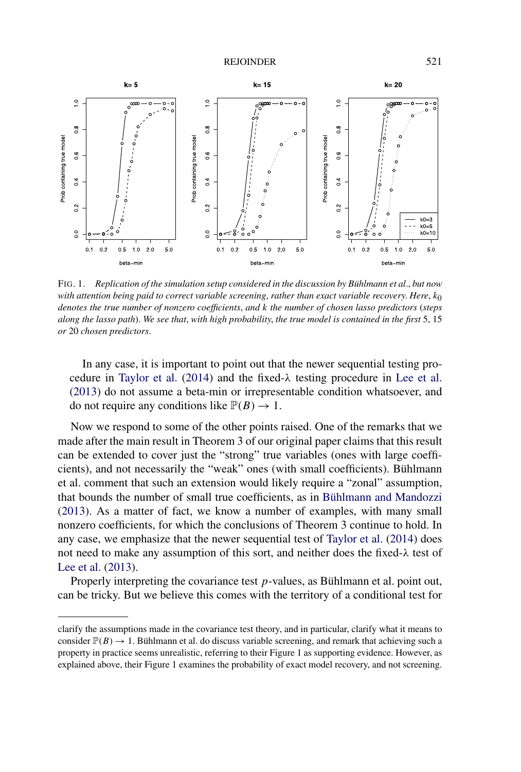<span id="page-3-0"></span>

FIG. 1. *Replication of the simulation setup considered in the discussion by Bühlmann et al*., *but now with attention being paid to correct variable screening*, *rather than exact variable recovery*. *Here*, *k*0 *denotes the true number of nonzero coefficients*, *and k the number of chosen lasso predictors* (*steps along the lasso path*). *We see that*, *with high probability*, *the true model is contained in the first* 5, 15 *or* 20 *chosen predictors*.

In any case, it is important to point out that the newer sequential testing procedure in [Taylor et al.](#page-13-0) [\(2014\)](#page-13-0) and the fixed-*λ* testing procedure in [Lee et al.](#page-13-0) [\(2013\)](#page-13-0) do not assume a beta-min or irrepresentable condition whatsoever, and do not require any conditions like  $\mathbb{P}(B) \to 1$ .

Now we respond to some of the other points raised. One of the remarks that we made after the main result in Theorem 3 of our original paper claims that this result can be extended to cover just the "strong" true variables (ones with large coefficients), and not necessarily the "weak" ones (with small coefficients). Bühlmann et al. comment that such an extension would likely require a "zonal" assumption, that bounds the number of small true coefficients, as in [Bühlmann and Mandozzi](#page-13-0) [\(2013\)](#page-13-0). As a matter of fact, we know a number of examples, with many small nonzero coefficients, for which the conclusions of Theorem 3 continue to hold. In any case, we emphasize that the newer sequential test of [Taylor et al.](#page-13-0) [\(2014\)](#page-13-0) does not need to make any assumption of this sort, and neither does the fixed-*λ* test of [Lee et al.](#page-13-0) [\(2013\)](#page-13-0).

Properly interpreting the covariance test *p*-values, as Bühlmann et al. point out, can be tricky. But we believe this comes with the territory of a conditional test for

clarify the assumptions made in the covariance test theory, and in particular, clarify what it means to consider  $\mathbb{P}(B) \to 1$ . Bühlmann et al. do discuss variable screening, and remark that achieving such a property in practice seems unrealistic, referring to their Figure 1 as supporting evidence. However, as explained above, their Figure 1 examines the probability of exact model recovery, and not screening.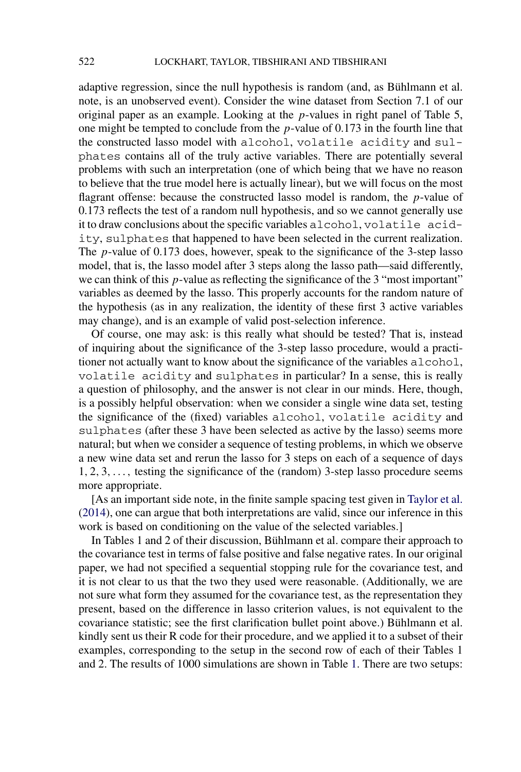adaptive regression, since the null hypothesis is random (and, as Bühlmann et al. note, is an unobserved event). Consider the wine dataset from Section 7.1 of our original paper as an example. Looking at the *p*-values in right panel of Table 5, one might be tempted to conclude from the *p*-value of 0.173 in the fourth line that the constructed lasso model with alcohol, volatile acidity and sulphates contains all of the truly active variables. There are potentially several problems with such an interpretation (one of which being that we have no reason to believe that the true model here is actually linear), but we will focus on the most flagrant offense: because the constructed lasso model is random, the *p*-value of 0.173 reflects the test of a random null hypothesis, and so we cannot generally use it to draw conclusions about the specific variables alcohol, volatile acidity, sulphates that happened to have been selected in the current realization. The *p*-value of 0.173 does, however, speak to the significance of the 3-step lasso model, that is, the lasso model after 3 steps along the lasso path—said differently, we can think of this *p*-value as reflecting the significance of the 3 "most important" variables as deemed by the lasso. This properly accounts for the random nature of the hypothesis (as in any realization, the identity of these first 3 active variables may change), and is an example of valid post-selection inference.

Of course, one may ask: is this really what should be tested? That is, instead of inquiring about the significance of the 3-step lasso procedure, would a practitioner not actually want to know about the significance of the variables alcohol, volatile acidity and sulphates in particular? In a sense, this is really a question of philosophy, and the answer is not clear in our minds. Here, though, is a possibly helpful observation: when we consider a single wine data set, testing the significance of the (fixed) variables alcohol, volatile acidity and sulphates (after these 3 have been selected as active by the lasso) seems more natural; but when we consider a sequence of testing problems, in which we observe a new wine data set and rerun the lasso for 3 steps on each of a sequence of days 1*,* 2*,* 3*,...,* testing the significance of the (random) 3-step lasso procedure seems more appropriate.

[As an important side note, in the finite sample spacing test given in [Taylor et al.](#page-13-0) [\(2014\)](#page-13-0), one can argue that both interpretations are valid, since our inference in this work is based on conditioning on the value of the selected variables.]

In Tables 1 and 2 of their discussion, Bühlmann et al. compare their approach to the covariance test in terms of false positive and false negative rates. In our original paper, we had not specified a sequential stopping rule for the covariance test, and it is not clear to us that the two they used were reasonable. (Additionally, we are not sure what form they assumed for the covariance test, as the representation they present, based on the difference in lasso criterion values, is not equivalent to the covariance statistic; see the first clarification bullet point above.) Bühlmann et al. kindly sent us their R code for their procedure, and we applied it to a subset of their examples, corresponding to the setup in the second row of each of their Tables 1 and 2. The results of 1000 simulations are shown in Table [1.](#page-5-0) There are two setups: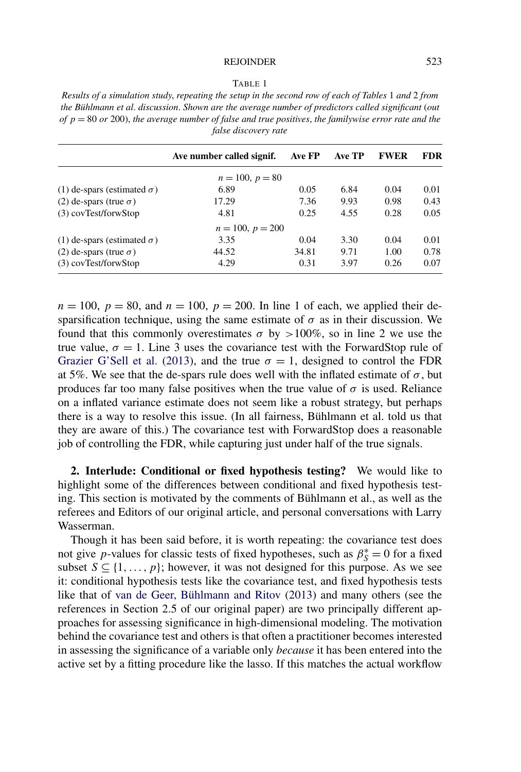#### TABLE 1

<span id="page-5-0"></span>*Results of a simulation study*, *repeating the setup in the second row of each of Tables* 1 *and* 2 *from the Bühlmann et al*. *discussion*. *Shown are the average number of predictors called significant* (*out of p* = 80 *or* 200), *the average number of false and true positives*, *the familywise error rate and the false discovery rate*

|                                    | Ave number called signif. | Ave FP | Ave TP | <b>FWER</b> | <b>FDR</b> |
|------------------------------------|---------------------------|--------|--------|-------------|------------|
|                                    | $n = 100, p = 80$         |        |        |             |            |
| (1) de-spars (estimated $\sigma$ ) | 6.89                      | 0.05   | 6.84   | 0.04        | 0.01       |
| (2) de-spars (true $\sigma$ )      | 17.29                     | 7.36   | 9.93   | 0.98        | 0.43       |
| (3) covTest/forwStop               | 4.81                      | 0.25   | 4.55   | 0.28        | 0.05       |
|                                    | $n = 100, p = 200$        |        |        |             |            |
| (1) de-spars (estimated $\sigma$ ) | 3.35                      | 0.04   | 3.30   | 0.04        | 0.01       |
| (2) de-spars (true $\sigma$ )      | 44.52                     | 34.81  | 9.71   | 1.00        | 0.78       |
| (3) covTest/forwStop               | 4.29                      | 0.31   | 3.97   | 0.26        | 0.07       |

 $n = 100$ ,  $p = 80$ , and  $n = 100$ ,  $p = 200$ . In line 1 of each, we applied their desparsification technique, using the same estimate of  $\sigma$  as in their discussion. We found that this commonly overestimates  $\sigma$  by  $>100\%$ , so in line 2 we use the true value,  $\sigma = 1$ . Line 3 uses the covariance test with the ForwardStop rule of [Grazier G'Sell et al.](#page-13-0) [\(2013\)](#page-13-0), and the true  $\sigma = 1$ , designed to control the FDR at 5%. We see that the de-spars rule does well with the inflated estimate of  $\sigma$ , but produces far too many false positives when the true value of  $\sigma$  is used. Reliance on a inflated variance estimate does not seem like a robust strategy, but perhaps there is a way to resolve this issue. (In all fairness, Bühlmann et al. told us that they are aware of this.) The covariance test with ForwardStop does a reasonable job of controlling the FDR, while capturing just under half of the true signals.

**2. Interlude: Conditional or fixed hypothesis testing?** We would like to highlight some of the differences between conditional and fixed hypothesis testing. This section is motivated by the comments of Bühlmann et al., as well as the referees and Editors of our original article, and personal conversations with Larry Wasserman.

Though it has been said before, it is worth repeating: the covariance test does not give *p*-values for classic tests of fixed hypotheses, such as  $\beta_S^* = 0$  for a fixed subset  $S \subseteq \{1, ..., p\}$ ; however, it was not designed for this purpose. As we see it: conditional hypothesis tests like the covariance test, and fixed hypothesis tests like that of [van de Geer, Bühlmann and Ritov](#page-13-0) [\(2013\)](#page-13-0) and many others (see the references in Section 2.5 of our original paper) are two principally different approaches for assessing significance in high-dimensional modeling. The motivation behind the covariance test and others is that often a practitioner becomes interested in assessing the significance of a variable only *because* it has been entered into the active set by a fitting procedure like the lasso. If this matches the actual workflow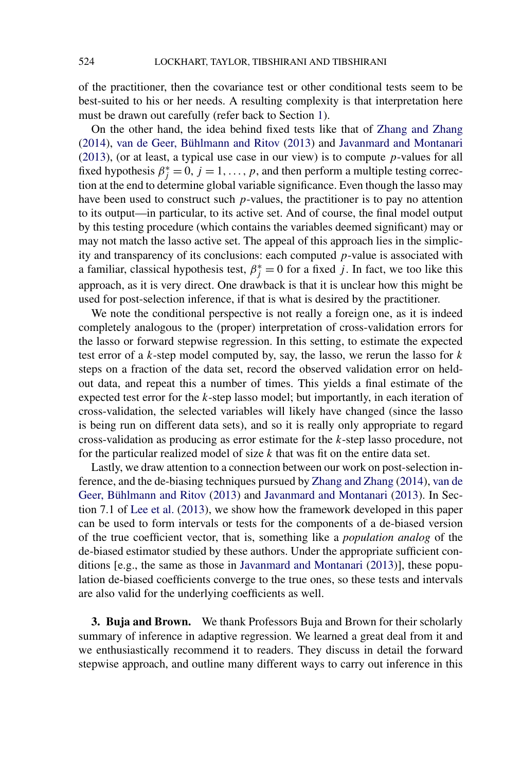of the practitioner, then the covariance test or other conditional tests seem to be best-suited to his or her needs. A resulting complexity is that interpretation here must be drawn out carefully (refer back to Section [1\)](#page-1-0).

On the other hand, the idea behind fixed tests like that of [Zhang and Zhang](#page-13-0) [\(2014\)](#page-13-0), [van de Geer, Bühlmann and Ritov](#page-13-0) [\(2013\)](#page-13-0) and [Javanmard and Montanari](#page-13-0) [\(2013\)](#page-13-0), (or at least, a typical use case in our view) is to compute *p*-values for all fixed hypothesis  $\beta_j^* = 0$ ,  $j = 1, ..., p$ , and then perform a multiple testing correction at the end to determine global variable significance. Even though the lasso may have been used to construct such *p*-values, the practitioner is to pay no attention to its output—in particular, to its active set. And of course, the final model output by this testing procedure (which contains the variables deemed significant) may or may not match the lasso active set. The appeal of this approach lies in the simplicity and transparency of its conclusions: each computed *p*-value is associated with a familiar, classical hypothesis test,  $\beta_j^* = 0$  for a fixed *j*. In fact, we too like this approach, as it is very direct. One drawback is that it is unclear how this might be used for post-selection inference, if that is what is desired by the practitioner.

We note the conditional perspective is not really a foreign one, as it is indeed completely analogous to the (proper) interpretation of cross-validation errors for the lasso or forward stepwise regression. In this setting, to estimate the expected test error of a *k*-step model computed by, say, the lasso, we rerun the lasso for *k* steps on a fraction of the data set, record the observed validation error on heldout data, and repeat this a number of times. This yields a final estimate of the expected test error for the *k*-step lasso model; but importantly, in each iteration of cross-validation, the selected variables will likely have changed (since the lasso is being run on different data sets), and so it is really only appropriate to regard cross-validation as producing as error estimate for the *k*-step lasso procedure, not for the particular realized model of size *k* that was fit on the entire data set.

Lastly, we draw attention to a connection between our work on post-selection inference, and the de-biasing techniques pursued by [Zhang and Zhang](#page-13-0) [\(2014\)](#page-13-0), [van de](#page-13-0) [Geer, Bühlmann and Ritov](#page-13-0) [\(2013\)](#page-13-0) and [Javanmard and Montanari](#page-13-0) [\(2013\)](#page-13-0). In Section 7.1 of [Lee et al.](#page-13-0) [\(2013\)](#page-13-0), we show how the framework developed in this paper can be used to form intervals or tests for the components of a de-biased version of the true coefficient vector, that is, something like a *population analog* of the de-biased estimator studied by these authors. Under the appropriate sufficient conditions [e.g., the same as those in [Javanmard and Montanari](#page-13-0) [\(2013\)](#page-13-0)], these population de-biased coefficients converge to the true ones, so these tests and intervals are also valid for the underlying coefficients as well.

**3. Buja and Brown.** We thank Professors Buja and Brown for their scholarly summary of inference in adaptive regression. We learned a great deal from it and we enthusiastically recommend it to readers. They discuss in detail the forward stepwise approach, and outline many different ways to carry out inference in this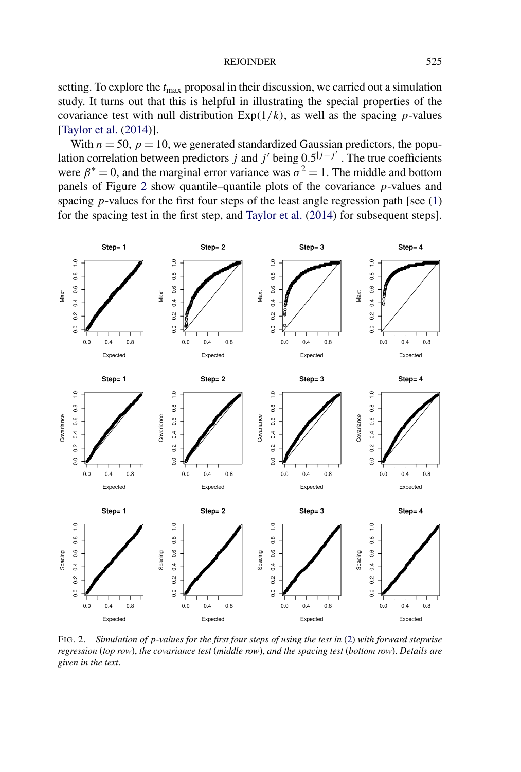setting. To explore the *t*max proposal in their discussion, we carried out a simulation study. It turns out that this is helpful in illustrating the special properties of the covariance test with null distribution  $Exp(1/k)$ , as well as the spacing *p*-values [\[Taylor et al.](#page-13-0) [\(2014\)](#page-13-0)].

With  $n = 50$ ,  $p = 10$ , we generated standardized Gaussian predictors, the population correlation between predictors *j* and *j'* being  $0.5|j-j'|$ . The true coefficients were  $\beta^* = 0$ , and the marginal error variance was  $\sigma^2 = 1$ . The middle and bottom panels of Figure 2 show quantile–quantile plots of the covariance *p*-values and spacing *p*-values for the first four steps of the least angle regression path [see [\(1\)](#page-0-0) for the spacing test in the first step, and [Taylor et al.](#page-13-0) [\(2014\)](#page-13-0) for subsequent steps].



FIG. 2. *Simulation of p-values for the first four steps of using the test in* [\(2\)](#page-8-0) *with forward stepwise regression* (*top row*), *the covariance test* (*middle row*), *and the spacing test* (*bottom row*). *Details are given in the text*.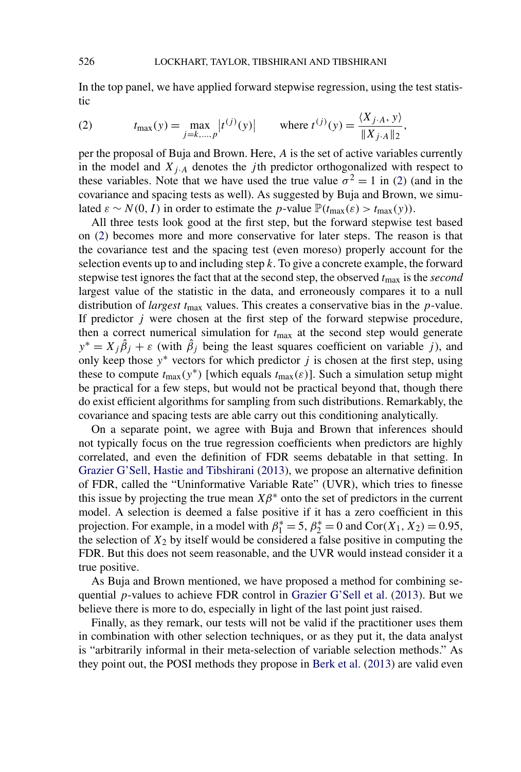<span id="page-8-0"></span>In the top panel, we have applied forward stepwise regression, using the test statistic

(2) 
$$
t_{\max}(y) = \max_{j=k,...,p} |t^{(j)}(y)|
$$
 where  $t^{(j)}(y) = \frac{\langle X_{j \cdot A}, y \rangle}{\|X_{j \cdot A}\|_2}$ ,

per the proposal of Buja and Brown. Here, *A* is the set of active variables currently in the model and  $X_{i}$ <sup>*A*</sup> denotes the *j*th predictor orthogonalized with respect to these variables. Note that we have used the true value  $\sigma^2 = 1$  in (2) (and in the covariance and spacing tests as well). As suggested by Buja and Brown, we simulated  $\varepsilon \sim N(0, I)$  in order to estimate the *p*-value  $\mathbb{P}(t_{\text{max}}(\varepsilon) > t_{\text{max}}(y)).$ 

All three tests look good at the first step, but the forward stepwise test based on (2) becomes more and more conservative for later steps. The reason is that the covariance test and the spacing test (even moreso) properly account for the selection events up to and including step *k*. To give a concrete example, the forward stepwise test ignores the fact that at the second step, the observed *t*max is the *second* largest value of the statistic in the data, and erroneously compares it to a null distribution of *largest*  $t_{\text{max}}$  values. This creates a conservative bias in the *p*-value. If predictor *j* were chosen at the first step of the forward stepwise procedure, then a correct numerical simulation for *t*max at the second step would generate  $y^* = X_j \hat{\beta}_j + \varepsilon$  (with  $\hat{\beta}_j$  being the least squares coefficient on variable *j*), and only keep those *y*<sup>∗</sup> vectors for which predictor *j* is chosen at the first step, using these to compute  $t_{\text{max}}(y^*)$  [which equals  $t_{\text{max}}(\varepsilon)$ ]. Such a simulation setup might be practical for a few steps, but would not be practical beyond that, though there do exist efficient algorithms for sampling from such distributions. Remarkably, the covariance and spacing tests are able carry out this conditioning analytically.

On a separate point, we agree with Buja and Brown that inferences should not typically focus on the true regression coefficients when predictors are highly correlated, and even the definition of FDR seems debatable in that setting. In [Grazier G'Sell, Hastie and Tibshirani](#page-13-0) [\(2013\)](#page-13-0), we propose an alternative definition of FDR, called the "Uninformative Variable Rate" (UVR), which tries to finesse this issue by projecting the true mean  $X\beta^*$  onto the set of predictors in the current model. A selection is deemed a false positive if it has a zero coefficient in this projection. For example, in a model with  $\beta_1^* = 5$ ,  $\beta_2^* = 0$  and Cor $(X_1, X_2) = 0.95$ , the selection of  $X_2$  by itself would be considered a false positive in computing the FDR. But this does not seem reasonable, and the UVR would instead consider it a true positive.

As Buja and Brown mentioned, we have proposed a method for combining sequential *p*-values to achieve FDR control in [Grazier G'Sell et al.](#page-13-0) [\(2013\)](#page-13-0). But we believe there is more to do, especially in light of the last point just raised.

Finally, as they remark, our tests will not be valid if the practitioner uses them in combination with other selection techniques, or as they put it, the data analyst is "arbitrarily informal in their meta-selection of variable selection methods." As they point out, the POSI methods they propose in [Berk et al.](#page-13-0) [\(2013\)](#page-13-0) are valid even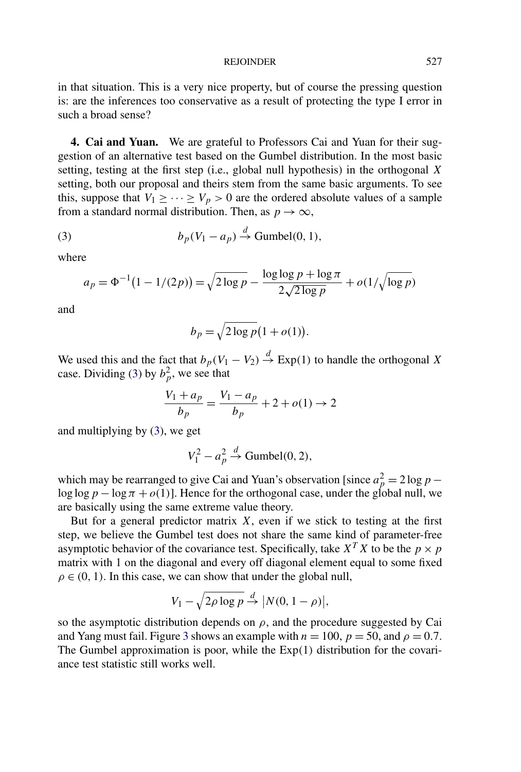in that situation. This is a very nice property, but of course the pressing question is: are the inferences too conservative as a result of protecting the type I error in such a broad sense?

**4. Cai and Yuan.** We are grateful to Professors Cai and Yuan for their suggestion of an alternative test based on the Gumbel distribution. In the most basic setting, testing at the first step (i.e., global null hypothesis) in the orthogonal *X* setting, both our proposal and theirs stem from the same basic arguments. To see this, suppose that  $V_1 \geq \cdots \geq V_p > 0$  are the ordered absolute values of a sample from a standard normal distribution. Then, as  $p \to \infty$ ,

(3) 
$$
b_p(V_1 - a_p) \stackrel{d}{\rightarrow} \text{Gumbel}(0, 1),
$$

where

$$
a_p = \Phi^{-1}(1 - 1/(2p)) = \sqrt{2 \log p} - \frac{\log \log p + \log \pi}{2\sqrt{2 \log p}} + o(1/\sqrt{\log p})
$$

and

$$
b_p = \sqrt{2 \log p} \big( 1 + o(1) \big).
$$

We used this and the fact that  $b_p(V_1 - V_2) \stackrel{d}{\rightarrow} \text{Exp}(1)$  to handle the orthogonal *X* case. Dividing (3) by  $b_p^2$ , we see that

$$
\frac{V_1 + a_p}{b_p} = \frac{V_1 - a_p}{b_p} + 2 + o(1) \to 2
$$

and multiplying by (3), we get

$$
V_1^2 - a_p^2 \xrightarrow{d} \text{Gumbel}(0, 2),
$$

which may be rearranged to give Cai and Yuan's observation [since  $a_p^2 = 2 \log p$ log log  $p - \log \pi + o(1)$ . Hence for the orthogonal case, under the global null, we are basically using the same extreme value theory.

But for a general predictor matrix  $X$ , even if we stick to testing at the first step, we believe the Gumbel test does not share the same kind of parameter-free asymptotic behavior of the covariance test. Specifically, take  $X^T X$  to be the  $p \times p$ matrix with 1 on the diagonal and every off diagonal element equal to some fixed  $\rho \in (0, 1)$ . In this case, we can show that under the global null,

$$
V_1 - \sqrt{2\rho \log p} \stackrel{d}{\rightarrow} |N(0, 1 - \rho)|,
$$

so the asymptotic distribution depends on  $\rho$ , and the procedure suggested by Cai and Yang must fail. Figure [3](#page-10-0) shows an example with  $n = 100$ ,  $p = 50$ , and  $\rho = 0.7$ . The Gumbel approximation is poor, while the Exp*(*1*)* distribution for the covariance test statistic still works well.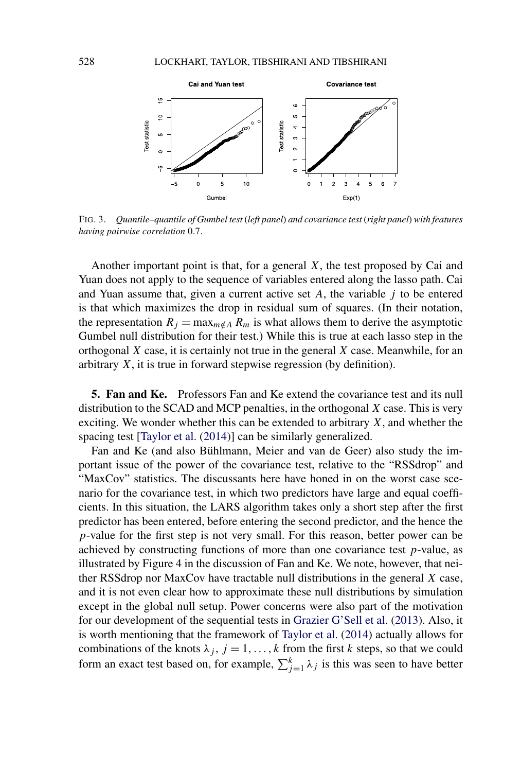<span id="page-10-0"></span>

FIG. 3. *Quantile–quantile of Gumbel test* (*left panel*) *and covariance test* (*right panel*) *with features having pairwise correlation* 0*.*7.

Another important point is that, for a general *X*, the test proposed by Cai and Yuan does not apply to the sequence of variables entered along the lasso path. Cai and Yuan assume that, given a current active set *A*, the variable *j* to be entered is that which maximizes the drop in residual sum of squares. (In their notation, the representation  $R_j = \max_{m \notin A} R_m$  is what allows them to derive the asymptotic Gumbel null distribution for their test.) While this is true at each lasso step in the orthogonal *X* case, it is certainly not true in the general *X* case. Meanwhile, for an arbitrary *X*, it is true in forward stepwise regression (by definition).

**5. Fan and Ke.** Professors Fan and Ke extend the covariance test and its null distribution to the SCAD and MCP penalties, in the orthogonal *X* case. This is very exciting. We wonder whether this can be extended to arbitrary *X*, and whether the spacing test [\[Taylor et al.](#page-13-0) [\(2014\)](#page-13-0)] can be similarly generalized.

Fan and Ke (and also Bühlmann, Meier and van de Geer) also study the important issue of the power of the covariance test, relative to the "RSSdrop" and "MaxCov" statistics. The discussants here have honed in on the worst case scenario for the covariance test, in which two predictors have large and equal coefficients. In this situation, the LARS algorithm takes only a short step after the first predictor has been entered, before entering the second predictor, and the hence the *p*-value for the first step is not very small. For this reason, better power can be achieved by constructing functions of more than one covariance test *p*-value, as illustrated by Figure 4 in the discussion of Fan and Ke. We note, however, that neither RSSdrop nor MaxCov have tractable null distributions in the general *X* case, and it is not even clear how to approximate these null distributions by simulation except in the global null setup. Power concerns were also part of the motivation for our development of the sequential tests in [Grazier G'Sell et al.](#page-13-0) [\(2013\)](#page-13-0). Also, it is worth mentioning that the framework of [Taylor et al.](#page-13-0) [\(2014\)](#page-13-0) actually allows for combinations of the knots  $\lambda_j$ ,  $j = 1, \ldots, k$  from the first *k* steps, so that we could form an exact test based on, for example,  $\sum_{j=1}^{k} \lambda_j$  is this was seen to have better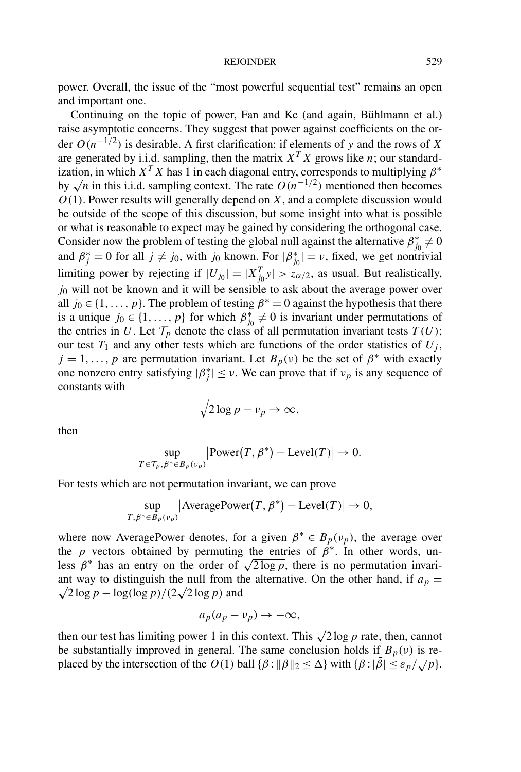power. Overall, the issue of the "most powerful sequential test" remains an open and important one.

Continuing on the topic of power, Fan and Ke (and again, Bühlmann et al.) raise asymptotic concerns. They suggest that power against coefficients on the order *O(n*−1*/*2*)* is desirable. A first clarification: if elements of *y* and the rows of *X* are generated by i.i.d. sampling, then the matrix  $X^T X$  grows like *n*; our standardization, in which  $X^T X$  has 1 in each diagonal entry, corresponds to multiplying  $\beta^*$ by  $\sqrt{n}$  in this i.i.d. sampling context. The rate  $O(n^{-1/2})$  mentioned then becomes *O(*1*)*. Power results will generally depend on *X*, and a complete discussion would be outside of the scope of this discussion, but some insight into what is possible or what is reasonable to expect may be gained by considering the orthogonal case. Consider now the problem of testing the global null against the alternative  $\beta_{j0}^* \neq 0$ and  $\beta_j^* = 0$  for all  $j \neq j_0$ , with  $j_0$  known. For  $|\beta_{j_0}^*| = \nu$ , fixed, we get nontrivial limiting power by rejecting if  $|U_{j_0}| = |X_{j_0}^T y| > z_{\alpha/2}$ , as usual. But realistically, *j*<sup>0</sup> will not be known and it will be sensible to ask about the average power over all  $j_0 \in \{1, ..., p\}$ . The problem of testing  $\beta^* = 0$  against the hypothesis that there is a unique  $j_0 \in \{1, ..., p\}$  for which  $\beta_{j_0}^* \neq 0$  is invariant under permutations of the entries in U. Let  $\mathcal{T}_p$  denote the class of all permutation invariant tests  $T(U)$ ; our test  $T_1$  and any other tests which are functions of the order statistics of  $U_i$ ,  $j = 1, \ldots, p$  are permutation invariant. Let  $B_p(v)$  be the set of  $\beta^*$  with exactly one nonzero entry satisfying  $|\beta_j^*| \leq \nu$ . We can prove that if  $\nu_p$  is any sequence of constants with

$$
\sqrt{2\log p} - \nu_p \to \infty,
$$

then

$$
\sup_{T \in \mathcal{T}_p, \beta^* \in B_p(v_p)} \left| \text{Power}(T, \beta^*) - \text{Level}(T) \right| \to 0.
$$

For tests which are not permutation invariant, we can prove

$$
\sup_{T,\beta^* \in B_p(\nu_p)} | \text{AveragePower}(T,\beta^*) - \text{Level}(T) | \to 0,
$$

where now AveragePower denotes, for a given  $\beta^* \in B_p(v_p)$ , the average over the *p* vectors obtained by permuting the entries of  $\beta^*$ . In other words, unless  $\beta^*$  has an entry on the order of  $\sqrt{2 \log p}$ , there is no permutation invariant way to distinguish the null from the alternative. On the other hand, if  $a_p =$  $\sqrt{2 \log p} - \log(\log p)/(2 \sqrt{2 \log p})$  and

$$
a_p(a_p - v_p) \to -\infty,
$$

then our test has limiting power 1 in this context. This  $\sqrt{2 \log p}$  rate, then, cannot be substantially improved in general. The same conclusion holds if  $B_p(v)$  is rebe substantially improved in general. The same conclusion notes if  $B_p(v)$  is re-<br>placed by the intersection of the  $O(1)$  ball  $\{\beta : |\beta||_2 \leq \Delta\}$  with  $\{\beta : |\bar{\beta}| \leq \varepsilon_p/\sqrt{p}\}$ .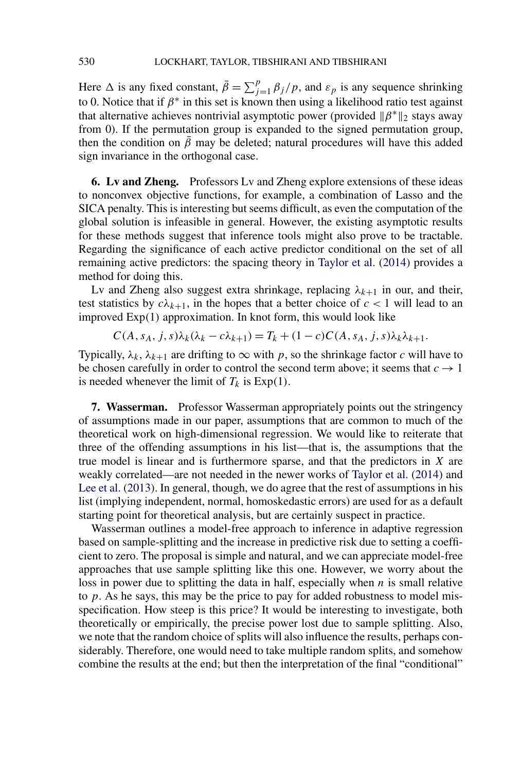Here  $\Delta$  is any fixed constant,  $\bar{\beta} = \sum_{j=1}^{p} \beta_j / p$ , and  $\varepsilon_p$  is any sequence shrinking to 0. Notice that if  $\beta^*$  in this set is known then using a likelihood ratio test against that alternative achieves nontrivial asymptotic power (provided  $\|\beta^*\|_2$  stays away from 0). If the permutation group is expanded to the signed permutation group, then the condition on  $\bar{\beta}$  may be deleted; natural procedures will have this added sign invariance in the orthogonal case.

**6. Lv and Zheng.** Professors Lv and Zheng explore extensions of these ideas to nonconvex objective functions, for example, a combination of Lasso and the SICA penalty. This is interesting but seems difficult, as even the computation of the global solution is infeasible in general. However, the existing asymptotic results for these methods suggest that inference tools might also prove to be tractable. Regarding the significance of each active predictor conditional on the set of all remaining active predictors: the spacing theory in [Taylor et al.](#page-13-0) [\(2014\)](#page-13-0) provides a method for doing this.

Lv and Zheng also suggest extra shrinkage, replacing  $\lambda_{k+1}$  in our, and their, test statistics by  $c\lambda_{k+1}$ , in the hopes that a better choice of  $c < 1$  will lead to an improved Exp*(*1*)* approximation. In knot form, this would look like

$$
C(A, s_A, j, s)\lambda_k(\lambda_k - c\lambda_{k+1}) = T_k + (1 - c)C(A, s_A, j, s)\lambda_k\lambda_{k+1}.
$$

Typically,  $\lambda_k$ ,  $\lambda_{k+1}$  are drifting to  $\infty$  with p, so the shrinkage factor c will have to be chosen carefully in order to control the second term above; it seems that  $c \rightarrow 1$ is needed whenever the limit of  $T_k$  is  $Exp(1)$ .

**7. Wasserman.** Professor Wasserman appropriately points out the stringency of assumptions made in our paper, assumptions that are common to much of the theoretical work on high-dimensional regression. We would like to reiterate that three of the offending assumptions in his list—that is, the assumptions that the true model is linear and is furthermore sparse, and that the predictors in *X* are weakly correlated—are not needed in the newer works of [Taylor et al.](#page-13-0) [\(2014\)](#page-13-0) and [Lee et al.](#page-13-0) [\(2013\)](#page-13-0). In general, though, we do agree that the rest of assumptions in his list (implying independent, normal, homoskedastic errors) are used for as a default starting point for theoretical analysis, but are certainly suspect in practice.

Wasserman outlines a model-free approach to inference in adaptive regression based on sample-splitting and the increase in predictive risk due to setting a coefficient to zero. The proposal is simple and natural, and we can appreciate model-free approaches that use sample splitting like this one. However, we worry about the loss in power due to splitting the data in half, especially when *n* is small relative to *p*. As he says, this may be the price to pay for added robustness to model misspecification. How steep is this price? It would be interesting to investigate, both theoretically or empirically, the precise power lost due to sample splitting. Also, we note that the random choice of splits will also influence the results, perhaps considerably. Therefore, one would need to take multiple random splits, and somehow combine the results at the end; but then the interpretation of the final "conditional"